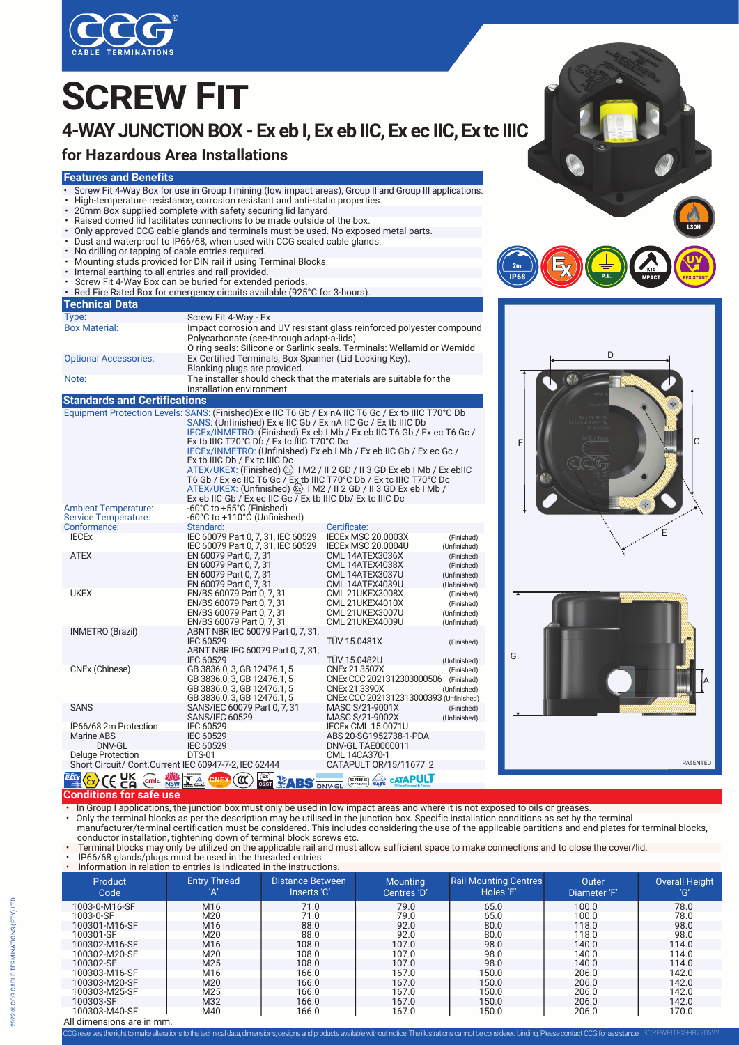

# **SCREW FIT**

## **4-WAY JUNCTION BOX - Ex eb I, Ex eb IIC, Ex ec IIC, Ex tc IIIC**

### **for Hazardous Area Installations**

#### **Features and Benefits**



- 20mm Box supplied complete with safety securing lid lanyard.
- Raised domed lid facilitates connections to be made outside of the box.
- Only approved CCG cable glands and terminals must be used. No exposed metal parts.
- Dust and waterproof to IP66/68, when used with CCG sealed cable glands.
- No drilling or tapping of cable entries required.
- Mounting studs provided for DIN rail if using Terminal Blocks.
- Internal earthing to all entries and rail provided.
- **Screw Fit 4-Way Box can be buried for extended periods.**
- Red Fire Rated Box for emergency circuits available (925°C for 3-hours).

| <b>Technical Data</b>                                                             |                                                                                                                                                                                                                                                                                                                                                                                                                                                                                                                                                                                                                                                                                                                                      |                                                                                                       |                                                          |  |  |
|-----------------------------------------------------------------------------------|--------------------------------------------------------------------------------------------------------------------------------------------------------------------------------------------------------------------------------------------------------------------------------------------------------------------------------------------------------------------------------------------------------------------------------------------------------------------------------------------------------------------------------------------------------------------------------------------------------------------------------------------------------------------------------------------------------------------------------------|-------------------------------------------------------------------------------------------------------|----------------------------------------------------------|--|--|
| Type:                                                                             | Screw Fit 4-Way - Ex                                                                                                                                                                                                                                                                                                                                                                                                                                                                                                                                                                                                                                                                                                                 |                                                                                                       |                                                          |  |  |
| <b>Box Material:</b>                                                              | Impact corrosion and UV resistant glass reinforced polyester compound<br>Polycarbonate (see-through adapt-a-lids)<br>O ring seals: Silicone or Sarlink seals. Terminals: Wellamid or Wemidd                                                                                                                                                                                                                                                                                                                                                                                                                                                                                                                                          |                                                                                                       |                                                          |  |  |
| <b>Optional Accessories:</b>                                                      | Ex Certified Terminals, Box Spanner (Lid Locking Key).<br>Blanking plugs are provided.                                                                                                                                                                                                                                                                                                                                                                                                                                                                                                                                                                                                                                               |                                                                                                       |                                                          |  |  |
| Note:                                                                             | The installer should check that the materials are suitable for the<br>installation environment                                                                                                                                                                                                                                                                                                                                                                                                                                                                                                                                                                                                                                       |                                                                                                       |                                                          |  |  |
| <b>Standards and Certifications</b>                                               |                                                                                                                                                                                                                                                                                                                                                                                                                                                                                                                                                                                                                                                                                                                                      |                                                                                                       |                                                          |  |  |
|                                                                                   | Equipment Protection Levels: SANS: (Finished) Ex e IIC T6 Gb / Ex nA IIC T6 Gc / Ex tb IIIC T70°C Db<br>SANS: (Unfinished) Ex e IIC Gb / Ex nA IIC Gc / Ex tb IIIC Db<br>IECEx/INMETRO: (Finished) Ex eb I Mb / Ex eb IIC T6 Gb / Ex ec T6 Gc /<br>Ex tb IIIC T70°C Db / Ex tc IIIC T70°C Dc<br>IECEX/INMETRO: (Unfinished) Ex eb I Mb / Ex eb IIC Gb / Ex ec Gc /<br>Ex tb IIIC Db / Ex tc IIIC Dc<br>ATEX/UKEX: (Finished) $\langle \overline{x} \rangle$ 1 M2 / II 2 GD / II 3 GD Ex eb 1 Mb / Ex ebIIC<br>T6 Gb / Ex ec IIC T6 Gc / Ex tb IIIC T70°C Db / Ex tc IIIC T70°C Dc<br>ATEX/UKEX: (Unfinished) $\langle x \rangle$   M2 / II 2 GD / II 3 GD Ex eb   Mb /<br>Ex eb IIC Gb / Ex ec IIC Gc / Ex tb IIIC Db/ Ex tc IIIC Dc |                                                                                                       |                                                          |  |  |
| <b>Ambient Temperature:</b><br><b>Service Temperature:</b><br>Conformance:        | -60°C to +55°C (Finished)<br>-60°C to +110°C (Unfinished)<br>Standard:                                                                                                                                                                                                                                                                                                                                                                                                                                                                                                                                                                                                                                                               | Certificate:                                                                                          |                                                          |  |  |
| <b>IECEX</b>                                                                      | IEC 60079 Part 0, 7, 31, IEC 60529<br>IEC 60079 Part 0, 7, 31, IEC 60529                                                                                                                                                                                                                                                                                                                                                                                                                                                                                                                                                                                                                                                             | <b>IECEX MSC 20.0003X</b><br><b>IECEX MSC 20.0004U</b>                                                | (Finished)<br>(Unfinished)                               |  |  |
| <b>ATEX</b>                                                                       | EN 60079 Part 0, 7, 31<br>EN 60079 Part 0, 7, 31<br>EN 60079 Part 0, 7, 31<br>EN 60079 Part 0, 7, 31                                                                                                                                                                                                                                                                                                                                                                                                                                                                                                                                                                                                                                 | CML 14ATEX3036X<br>CML 14ATEX4038X<br>CML 14ATEX3037U<br>CML 14ATEX4039U                              | (Finished)<br>(Finished)<br>(Unfinished)<br>(Unfinished) |  |  |
| <b>UKEX</b>                                                                       | EN/BS 60079 Part 0, 7, 31<br>EN/BS 60079 Part 0, 7, 31<br>EN/BS 60079 Part 0, 7, 31<br>EN/BS 60079 Part 0, 7, 31                                                                                                                                                                                                                                                                                                                                                                                                                                                                                                                                                                                                                     | <b>CML 21UKEX3008X</b><br>CML 21UKEX4010X<br><b>CML 21UKEX3007U</b><br><b>CML 21UKEX4009U</b>         | (Finished)<br>(Finished)<br>(Unfinished)<br>(Unfinished) |  |  |
| <b>INMETRO</b> (Brazil)                                                           | ABNT NBR IEC 60079 Part 0, 7, 31,<br><b>IEC 60529</b><br>ABNT NBR IEC 60079 Part 0, 7, 31,<br><b>IEC 60529</b>                                                                                                                                                                                                                                                                                                                                                                                                                                                                                                                                                                                                                       | <b>TÜV 15.0481X</b><br><b>TÜV 15.0482U</b>                                                            | (Finished)<br>(Unfinished)                               |  |  |
| CNEx (Chinese)                                                                    | GB 3836.0, 3, GB 12476.1, 5<br>GB 3836.0, 3, GB 12476.1, 5<br>GB 3836.0, 3, GB 12476.1, 5<br>GB 3836.0, 3, GB 12476.1, 5                                                                                                                                                                                                                                                                                                                                                                                                                                                                                                                                                                                                             | CNEx 21.3507X<br>CNEx CCC 2021312303000506<br>CNEx 21.3390X<br>CNEx CCC 2021312313000393 (Unfinished) | (Finished)<br>(Finished)<br>(Unfinished)                 |  |  |
| <b>SANS</b>                                                                       | SANS/IEC 60079 Part 0, 7, 31<br><b>SANS/IEC 60529</b>                                                                                                                                                                                                                                                                                                                                                                                                                                                                                                                                                                                                                                                                                | MASC S/21-9001X<br>MASC S/21-9002X                                                                    | (Finished)<br>(Unfinished)                               |  |  |
| IP66/68 2m Protection<br><b>Marine ABS</b><br>DNV-GL                              | <b>IEC 60529</b><br><b>IEC 60529</b><br><b>IEC 60529</b>                                                                                                                                                                                                                                                                                                                                                                                                                                                                                                                                                                                                                                                                             | <b>IECEX CML 15.0071U</b><br>ABS 20-SG1952738-1-PDA<br>DNV-GL TAE0000011                              |                                                          |  |  |
| <b>Deluge Protection</b><br>Short Circuit/ Cont. Current IEC 60947-7-2, IEC 62444 | <b>DTS-01</b>                                                                                                                                                                                                                                                                                                                                                                                                                                                                                                                                                                                                                                                                                                                        | CML 14CA370-1<br>CATAPULT 0R/15/11677_2                                                               |                                                          |  |  |







#### **Conditions for safe use**  $E_X$   $C \in \mathbb{C}$ **Ex** cm  $\mathbb{R}$   $\mathbb{R}$   $\mathbb{R}$   $\mathbb{C}$   $\mathbb{C}$   $\mathbb{R}$   $\mathbb{C}$   $\mathbb{C}$   $\mathbb{C}$   $\mathbb{C}$   $\mathbb{C}$

• In Group I applications, the junction box must only be used in low impact areas and where it is not exposed to oils or greases.

• Only the terminal blocks as per the description may be utilised in the junction box. Specific installation conditions as set by the terminal manufacturer/terminal certification must be considered. This includes considering the use of the applicable partitions and end plates for terminal blocks, conductor installation, tightening down of terminal block screws etc.

• Terminal blocks may only be utilized on the applicable rail and must allow sufficient space to make connections and to close the cover/lid.<br>• IP66/68 glands/plugs must be used in the threaded entries.<br>• Information

® TÜVRheinland **OCP 0004 Segurança**

| Information in relation to entries is indicated in the instructions. |                            |                                        |                                |                                           |                       |                              |  |
|----------------------------------------------------------------------|----------------------------|----------------------------------------|--------------------------------|-------------------------------------------|-----------------------|------------------------------|--|
| Product<br>Code                                                      | <b>Entry Thread</b><br>'Α' | <b>Distance Between</b><br>Inserts 'C' | <b>Mounting</b><br>Centres 'D' | <b>Rail Mounting Centres</b><br>Holes 'E' | Outer<br>Diameter 'F' | <b>Overall Height</b><br>'G' |  |
| 1003-0-M16-SF                                                        | M <sub>16</sub>            | 71.0                                   | 79.0                           | 65.0                                      | 100.0                 | 78.0                         |  |
| 1003-0-SF                                                            | M20                        | 71.0                                   | 79.0                           | 65.0                                      | 100.0                 | 78.0                         |  |
| 100301-M16-SF                                                        | M <sub>16</sub>            | 88.0                                   | 92.0                           | 80.0                                      | 118.0                 | 98.0                         |  |
| 100301-SF                                                            | M20                        | 88.0                                   | 92.0                           | 80.0                                      | 118.0                 | 98.0                         |  |
| 100302-M16-SF                                                        | M16                        | 108.0                                  | 107.0                          | 98.0                                      | 140.0                 | 114.0                        |  |
| 100302-M20-SF                                                        | M <sub>20</sub>            | 108.0                                  | 107.0                          | 98.0                                      | 140.0                 | 114.0                        |  |
| 100302-SF                                                            | M <sub>25</sub>            | 108.0                                  | 107.0                          | 98.0                                      | 140.0                 | 114.0                        |  |
| 100303-M16-SF                                                        | M16                        | 166.0                                  | 167.0                          | 150.0                                     | 206.0                 | 142.0                        |  |
| 100303-M20-SF                                                        | M20                        | 166.0                                  | 167.0                          | 150.0                                     | 206.0                 | 142.0                        |  |
| 100303-M25-SF                                                        | M25                        | 166.0                                  | 167.0                          | 150.0                                     | 206.0                 | 142.0                        |  |
| 100303-SF                                                            | M32                        | 166.0                                  | 167.0                          | 150.0                                     | 206.0                 | 142.0                        |  |
| 100303-M40-SF                                                        | M40                        | 166.0                                  | 167.0                          | 150.0                                     | 206.0                 | 170.0                        |  |